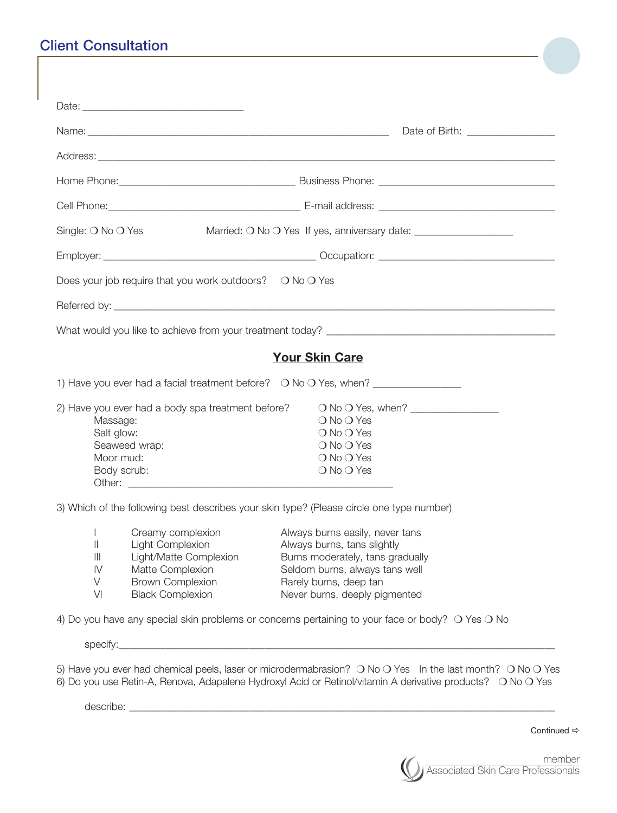## Client Consultation

|                                                                                            |                                                                                                                                           | Date of Birth: _________________                                                                                                                                                                                         |
|--------------------------------------------------------------------------------------------|-------------------------------------------------------------------------------------------------------------------------------------------|--------------------------------------------------------------------------------------------------------------------------------------------------------------------------------------------------------------------------|
|                                                                                            |                                                                                                                                           |                                                                                                                                                                                                                          |
|                                                                                            |                                                                                                                                           |                                                                                                                                                                                                                          |
|                                                                                            |                                                                                                                                           |                                                                                                                                                                                                                          |
| Single: $\bigcirc$ No $\bigcirc$ Yes                                                       |                                                                                                                                           | Married: O No O Yes If yes, anniversary date: ___________________________________                                                                                                                                        |
|                                                                                            |                                                                                                                                           |                                                                                                                                                                                                                          |
|                                                                                            | Does your job require that you work outdoors? $\circ$ No $\circ$ Yes                                                                      |                                                                                                                                                                                                                          |
|                                                                                            |                                                                                                                                           |                                                                                                                                                                                                                          |
|                                                                                            |                                                                                                                                           |                                                                                                                                                                                                                          |
|                                                                                            |                                                                                                                                           | <b>Your Skin Care</b>                                                                                                                                                                                                    |
|                                                                                            |                                                                                                                                           | 1) Have you ever had a facial treatment before?  O No O Yes, when? ______________                                                                                                                                        |
| Massage:<br>Salt glow:<br>Moor mud:<br>Body scrub:                                         | 2) Have you ever had a body spa treatment before?<br>Seaweed wrap:                                                                        | ○ No ○ Yes, when? <u>_______________</u><br>$\bigcirc$ No $\bigcirc$ Yes<br>$\bigcirc$ No $\bigcirc$ Yes<br>$\bigcirc$ No $\bigcirc$ Yes<br>$\bigcirc$ No $\bigcirc$ Yes<br>$\bigcirc$ No $\bigcirc$ Yes                 |
|                                                                                            |                                                                                                                                           | 3) Which of the following best describes your skin type? (Please circle one type number)                                                                                                                                 |
| $\parallel$<br>$\parallel \parallel$<br>$\mathsf{I}\mathsf{V}$<br>$\vee$<br>V <sub>l</sub> | Creamy complexion<br>Light Complexion<br>Light/Matte Complexion<br>Matte Complexion<br><b>Brown Complexion</b><br><b>Black Complexion</b> | Always burns easily, never tans<br>Always burns, tans slightly<br>Burns moderately, tans gradually<br>Seldom burns, always tans well<br>Rarely burns, deep tan<br>Never burns, deeply pigmented                          |
|                                                                                            |                                                                                                                                           | 4) Do you have any special skin problems or concerns pertaining to your face or body? O Yes O No                                                                                                                         |
|                                                                                            |                                                                                                                                           |                                                                                                                                                                                                                          |
| describe:                                                                                  |                                                                                                                                           | 5) Have you ever had chemical peels, laser or microdermabrasion? O No O Yes In the last month? O No O Yes<br>6) Do you use Retin-A, Renova, Adapalene Hydroxyl Acid or Retinol/vitamin A derivative products? O No O Yes |

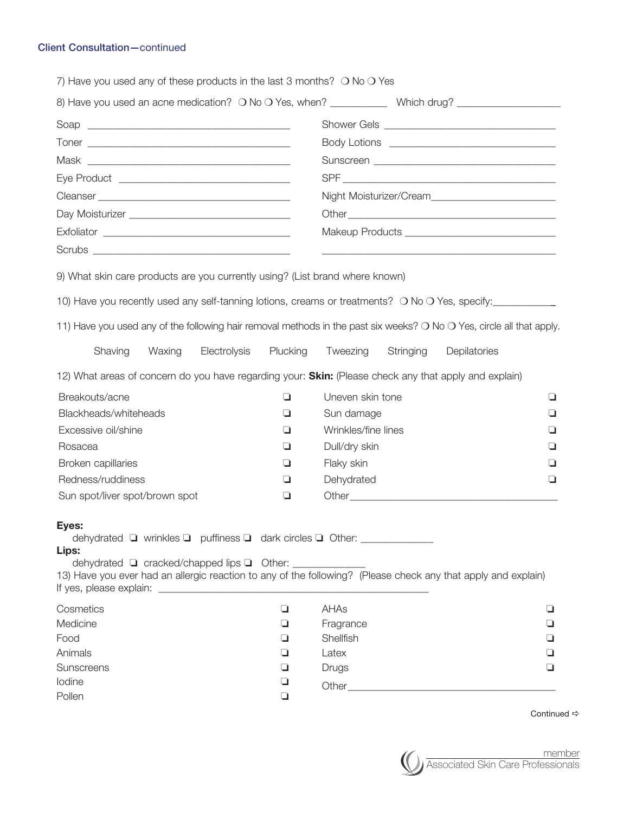## Client Consultation—continued

| Night Moisturizer/Cream<br>Makeup Products __________________________________<br>9) What skin care products are you currently using? (List brand where known)<br>10) Have you recently used any self-tanning lotions, creams or treatments? O No O Yes, specify:<br>11) Have you used any of the following hair removal methods in the past six weeks? O No O Yes, circle all that apply.<br>Electrolysis<br>Plucking<br>Shaving<br>Waxing<br>Tweezing<br>Stringing<br>Depilatories<br>12) What areas of concern do you have regarding your: <b>Skin:</b> (Please check any that apply and explain)<br>Breakouts/acne<br>Uneven skin tone<br>❏<br>❏<br>Blackheads/whiteheads<br>Sun damage<br>❏<br>u<br>Wrinkles/fine lines<br>Excessive oil/shine<br>⊔<br>ப<br>Dull/dry skin<br>Rosacea<br>❏<br>⊔<br>Broken capillaries<br>Flaky skin<br>⊔<br>⊔<br>Redness/ruddiness<br>Dehydrated<br>⊔<br>⊔<br>Sun spot/liver spot/brown spot<br>❏<br>Eyes:<br>dehydrated ■ wrinkles ■ puffiness ■ dark circles ■ Other:<br>Lips:<br>dehydrated □ cracked/chapped lips □ Other: _________<br>13) Have you ever had an allergic reaction to any of the following? (Please check any that apply and explain)<br>AHAs<br>❏<br>⊔<br>Fragrance<br>❏<br>⊐<br>Shellfish<br>❏<br>ப<br>Animals<br>❏<br>Latex<br>Sunscreens<br>❏<br>Drugs<br>⊔<br>lodine<br>❏<br>Pollen<br>❏ | 7) Have you used any of these products in the last 3 months? $\bigcirc$ No $\bigcirc$ Yes |  |  |  |  |  |  |
|------------------------------------------------------------------------------------------------------------------------------------------------------------------------------------------------------------------------------------------------------------------------------------------------------------------------------------------------------------------------------------------------------------------------------------------------------------------------------------------------------------------------------------------------------------------------------------------------------------------------------------------------------------------------------------------------------------------------------------------------------------------------------------------------------------------------------------------------------------------------------------------------------------------------------------------------------------------------------------------------------------------------------------------------------------------------------------------------------------------------------------------------------------------------------------------------------------------------------------------------------------------------------------------------------------------------------------------------------|-------------------------------------------------------------------------------------------|--|--|--|--|--|--|
|                                                                                                                                                                                                                                                                                                                                                                                                                                                                                                                                                                                                                                                                                                                                                                                                                                                                                                                                                                                                                                                                                                                                                                                                                                                                                                                                                      |                                                                                           |  |  |  |  |  |  |
|                                                                                                                                                                                                                                                                                                                                                                                                                                                                                                                                                                                                                                                                                                                                                                                                                                                                                                                                                                                                                                                                                                                                                                                                                                                                                                                                                      |                                                                                           |  |  |  |  |  |  |
|                                                                                                                                                                                                                                                                                                                                                                                                                                                                                                                                                                                                                                                                                                                                                                                                                                                                                                                                                                                                                                                                                                                                                                                                                                                                                                                                                      |                                                                                           |  |  |  |  |  |  |
|                                                                                                                                                                                                                                                                                                                                                                                                                                                                                                                                                                                                                                                                                                                                                                                                                                                                                                                                                                                                                                                                                                                                                                                                                                                                                                                                                      |                                                                                           |  |  |  |  |  |  |
|                                                                                                                                                                                                                                                                                                                                                                                                                                                                                                                                                                                                                                                                                                                                                                                                                                                                                                                                                                                                                                                                                                                                                                                                                                                                                                                                                      |                                                                                           |  |  |  |  |  |  |
|                                                                                                                                                                                                                                                                                                                                                                                                                                                                                                                                                                                                                                                                                                                                                                                                                                                                                                                                                                                                                                                                                                                                                                                                                                                                                                                                                      |                                                                                           |  |  |  |  |  |  |
|                                                                                                                                                                                                                                                                                                                                                                                                                                                                                                                                                                                                                                                                                                                                                                                                                                                                                                                                                                                                                                                                                                                                                                                                                                                                                                                                                      |                                                                                           |  |  |  |  |  |  |
|                                                                                                                                                                                                                                                                                                                                                                                                                                                                                                                                                                                                                                                                                                                                                                                                                                                                                                                                                                                                                                                                                                                                                                                                                                                                                                                                                      |                                                                                           |  |  |  |  |  |  |
|                                                                                                                                                                                                                                                                                                                                                                                                                                                                                                                                                                                                                                                                                                                                                                                                                                                                                                                                                                                                                                                                                                                                                                                                                                                                                                                                                      |                                                                                           |  |  |  |  |  |  |
|                                                                                                                                                                                                                                                                                                                                                                                                                                                                                                                                                                                                                                                                                                                                                                                                                                                                                                                                                                                                                                                                                                                                                                                                                                                                                                                                                      |                                                                                           |  |  |  |  |  |  |
|                                                                                                                                                                                                                                                                                                                                                                                                                                                                                                                                                                                                                                                                                                                                                                                                                                                                                                                                                                                                                                                                                                                                                                                                                                                                                                                                                      |                                                                                           |  |  |  |  |  |  |
|                                                                                                                                                                                                                                                                                                                                                                                                                                                                                                                                                                                                                                                                                                                                                                                                                                                                                                                                                                                                                                                                                                                                                                                                                                                                                                                                                      |                                                                                           |  |  |  |  |  |  |
|                                                                                                                                                                                                                                                                                                                                                                                                                                                                                                                                                                                                                                                                                                                                                                                                                                                                                                                                                                                                                                                                                                                                                                                                                                                                                                                                                      |                                                                                           |  |  |  |  |  |  |
|                                                                                                                                                                                                                                                                                                                                                                                                                                                                                                                                                                                                                                                                                                                                                                                                                                                                                                                                                                                                                                                                                                                                                                                                                                                                                                                                                      |                                                                                           |  |  |  |  |  |  |
|                                                                                                                                                                                                                                                                                                                                                                                                                                                                                                                                                                                                                                                                                                                                                                                                                                                                                                                                                                                                                                                                                                                                                                                                                                                                                                                                                      |                                                                                           |  |  |  |  |  |  |
|                                                                                                                                                                                                                                                                                                                                                                                                                                                                                                                                                                                                                                                                                                                                                                                                                                                                                                                                                                                                                                                                                                                                                                                                                                                                                                                                                      |                                                                                           |  |  |  |  |  |  |
|                                                                                                                                                                                                                                                                                                                                                                                                                                                                                                                                                                                                                                                                                                                                                                                                                                                                                                                                                                                                                                                                                                                                                                                                                                                                                                                                                      |                                                                                           |  |  |  |  |  |  |
|                                                                                                                                                                                                                                                                                                                                                                                                                                                                                                                                                                                                                                                                                                                                                                                                                                                                                                                                                                                                                                                                                                                                                                                                                                                                                                                                                      |                                                                                           |  |  |  |  |  |  |
|                                                                                                                                                                                                                                                                                                                                                                                                                                                                                                                                                                                                                                                                                                                                                                                                                                                                                                                                                                                                                                                                                                                                                                                                                                                                                                                                                      |                                                                                           |  |  |  |  |  |  |
|                                                                                                                                                                                                                                                                                                                                                                                                                                                                                                                                                                                                                                                                                                                                                                                                                                                                                                                                                                                                                                                                                                                                                                                                                                                                                                                                                      |                                                                                           |  |  |  |  |  |  |
|                                                                                                                                                                                                                                                                                                                                                                                                                                                                                                                                                                                                                                                                                                                                                                                                                                                                                                                                                                                                                                                                                                                                                                                                                                                                                                                                                      |                                                                                           |  |  |  |  |  |  |
|                                                                                                                                                                                                                                                                                                                                                                                                                                                                                                                                                                                                                                                                                                                                                                                                                                                                                                                                                                                                                                                                                                                                                                                                                                                                                                                                                      |                                                                                           |  |  |  |  |  |  |
|                                                                                                                                                                                                                                                                                                                                                                                                                                                                                                                                                                                                                                                                                                                                                                                                                                                                                                                                                                                                                                                                                                                                                                                                                                                                                                                                                      | Cosmetics                                                                                 |  |  |  |  |  |  |
|                                                                                                                                                                                                                                                                                                                                                                                                                                                                                                                                                                                                                                                                                                                                                                                                                                                                                                                                                                                                                                                                                                                                                                                                                                                                                                                                                      | Medicine                                                                                  |  |  |  |  |  |  |
|                                                                                                                                                                                                                                                                                                                                                                                                                                                                                                                                                                                                                                                                                                                                                                                                                                                                                                                                                                                                                                                                                                                                                                                                                                                                                                                                                      | Food                                                                                      |  |  |  |  |  |  |
|                                                                                                                                                                                                                                                                                                                                                                                                                                                                                                                                                                                                                                                                                                                                                                                                                                                                                                                                                                                                                                                                                                                                                                                                                                                                                                                                                      |                                                                                           |  |  |  |  |  |  |
|                                                                                                                                                                                                                                                                                                                                                                                                                                                                                                                                                                                                                                                                                                                                                                                                                                                                                                                                                                                                                                                                                                                                                                                                                                                                                                                                                      |                                                                                           |  |  |  |  |  |  |
|                                                                                                                                                                                                                                                                                                                                                                                                                                                                                                                                                                                                                                                                                                                                                                                                                                                                                                                                                                                                                                                                                                                                                                                                                                                                                                                                                      |                                                                                           |  |  |  |  |  |  |

Continued  $\Rightarrow$